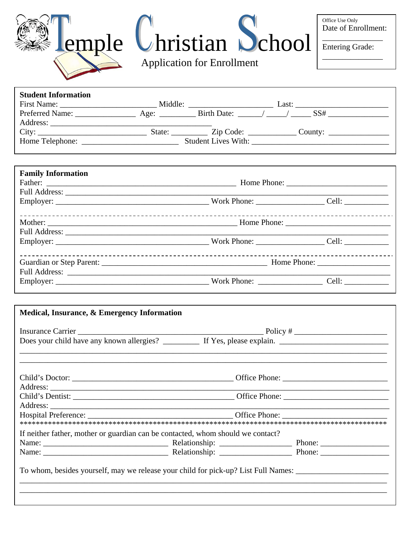| lemple Uhristian Uchool<br><b>Application for Enrollment</b> | Office Use Only<br>Date of Enrollment:<br><b>Entering Grade:</b> |
|--------------------------------------------------------------|------------------------------------------------------------------|
|                                                              |                                                                  |

| <b>Student Information</b> |         |                             |       |         |
|----------------------------|---------|-----------------------------|-------|---------|
| First Name:                | Middle: |                             | Last: |         |
| <b>Preferred Name:</b>     |         | Age: Birth Date: / /        |       | SS#     |
| Address:                   |         |                             |       |         |
|                            | State:  | $\angle$ Zip Code: $\angle$ |       | County: |
| Home Telephone:            |         | <b>Student Lives With:</b>  |       |         |

| <b>Family Information</b> |       |
|---------------------------|-------|
|                           |       |
|                           |       |
|                           |       |
|                           |       |
|                           | Cell: |

| If neither father, mother or guardian can be contacted, whom should we contact? |
|---------------------------------------------------------------------------------|
|                                                                                 |
|                                                                                 |
|                                                                                 |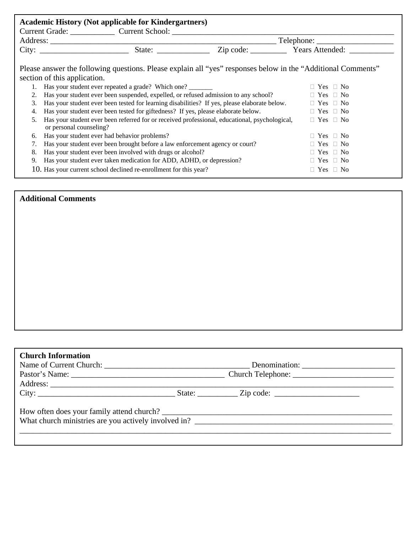| <b>Academic History (Not applicable for Kindergartners)</b><br>Current Grade: Current School: Current School: |                                                                                                                                                                                                                                                                                                                                                                                                                                                                                                                                                                                                                                                            |  |                                                                                                                                                                                                                                                                                                                                                                                                                      |
|---------------------------------------------------------------------------------------------------------------|------------------------------------------------------------------------------------------------------------------------------------------------------------------------------------------------------------------------------------------------------------------------------------------------------------------------------------------------------------------------------------------------------------------------------------------------------------------------------------------------------------------------------------------------------------------------------------------------------------------------------------------------------------|--|----------------------------------------------------------------------------------------------------------------------------------------------------------------------------------------------------------------------------------------------------------------------------------------------------------------------------------------------------------------------------------------------------------------------|
|                                                                                                               |                                                                                                                                                                                                                                                                                                                                                                                                                                                                                                                                                                                                                                                            |  | $\frac{1}{\sqrt{1-\frac{1}{2}}\sqrt{1-\frac{1}{2}}\sqrt{1-\frac{1}{2}}\sqrt{1-\frac{1}{2}}\sqrt{1-\frac{1}{2}}\sqrt{1-\frac{1}{2}}\sqrt{1-\frac{1}{2}}\sqrt{1-\frac{1}{2}}\sqrt{1-\frac{1}{2}}\sqrt{1-\frac{1}{2}}\sqrt{1-\frac{1}{2}}\sqrt{1-\frac{1}{2}}\sqrt{1-\frac{1}{2}}\sqrt{1-\frac{1}{2}}\sqrt{1-\frac{1}{2}}\sqrt{1-\frac{1}{2}}\sqrt{1-\frac{1}{2}}\sqrt{1-\frac{1}{2}}\sqrt{1-\frac{1}{2}}\sqrt{1-\frac$ |
|                                                                                                               | City: State: State: Zip code: Years Attended:                                                                                                                                                                                                                                                                                                                                                                                                                                                                                                                                                                                                              |  |                                                                                                                                                                                                                                                                                                                                                                                                                      |
| 2.<br>3.<br>4.<br>5.<br>6.                                                                                    | Please answer the following questions. Please explain all "yes" responses below in the "Additional Comments"<br>section of this application.<br>Has your student ever repeated a grade? Which one?<br>Has your student ever been suspended, expelled, or refused admission to any school?<br>Has your student ever been tested for learning disabilities? If yes, please elaborate below.<br>Has your student ever been tested for giftedness? If yes, please elaborate below.<br>Has your student ever been referred for or received professional, educational, psychological,<br>or personal counseling?<br>Has your student ever had behavior problems? |  | $\Box$ Yes $\Box$ No<br>$\Box$ Yes $\Box$ No<br>$\Box$ Yes $\Box$ No<br>$\Box$ Yes $\Box$ No<br>$\Box$ Yes $\Box$ No<br>$\Box$ Yes $\Box$ No                                                                                                                                                                                                                                                                         |
|                                                                                                               | Has your student ever been brought before a law enforcement agency or court?<br>$\Box$ Yes $\Box$ No                                                                                                                                                                                                                                                                                                                                                                                                                                                                                                                                                       |  |                                                                                                                                                                                                                                                                                                                                                                                                                      |
| 8.                                                                                                            | Has your student ever been involved with drugs or alcohol?<br>$\Box$ Yes $\Box$ No                                                                                                                                                                                                                                                                                                                                                                                                                                                                                                                                                                         |  |                                                                                                                                                                                                                                                                                                                                                                                                                      |
| 9.                                                                                                            | Has your student ever taken medication for ADD, ADHD, or depression?<br>$\Box$ Yes $\Box$ No                                                                                                                                                                                                                                                                                                                                                                                                                                                                                                                                                               |  |                                                                                                                                                                                                                                                                                                                                                                                                                      |
|                                                                                                               | 10. Has your current school declined re-enrollment for this year?                                                                                                                                                                                                                                                                                                                                                                                                                                                                                                                                                                                          |  | $\Box$ Yes $\Box$ No                                                                                                                                                                                                                                                                                                                                                                                                 |

# **Additional Comments**

| <b>Church Information</b>                 |  |  |  |
|-------------------------------------------|--|--|--|
|                                           |  |  |  |
|                                           |  |  |  |
|                                           |  |  |  |
|                                           |  |  |  |
| How often does your family attend church? |  |  |  |